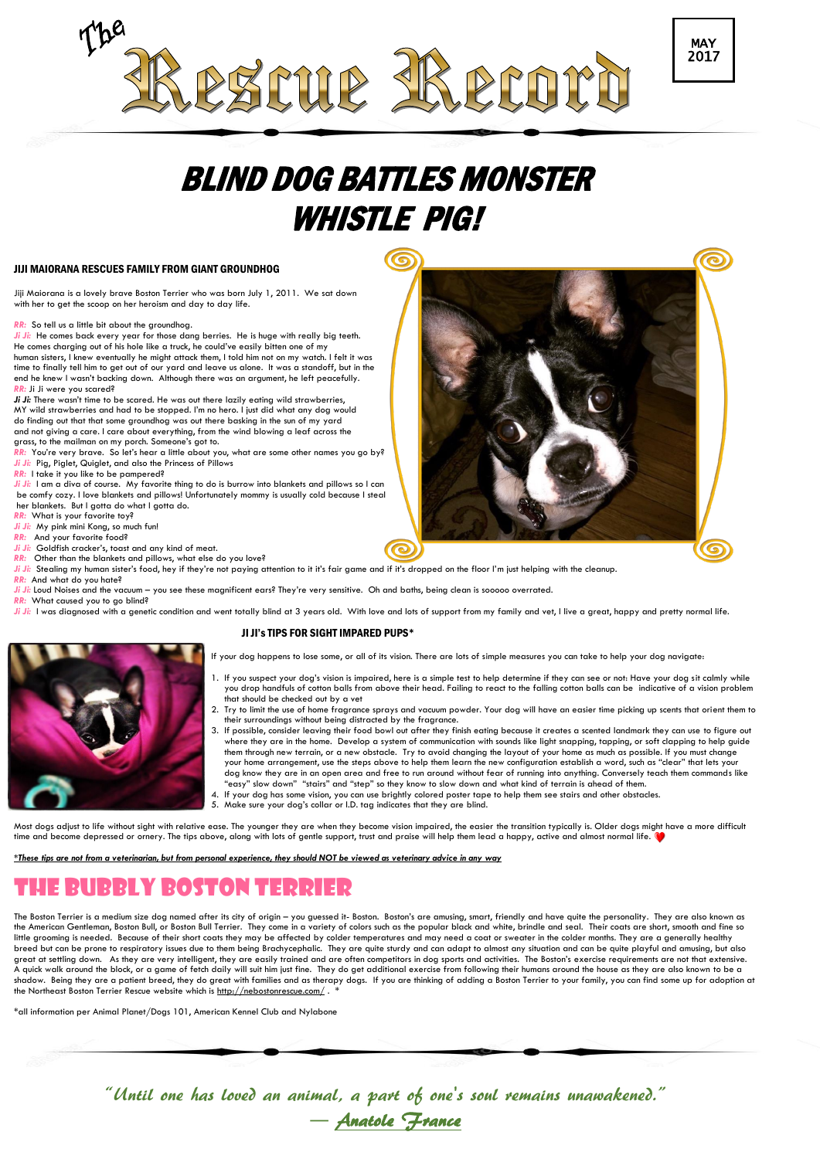# BLIND DOG BATTLES MONSTER WHISTLE PIG!

#### JIJI MAIORANA RESCUES FAMILY FROM GIANT GROUNDHOG

Jiji Maiorana is a lovely brave Boston Terrier who was born July 1, 2011. We sat down with her to get the scoop on her heroism and day to day life.

*RR:* So tell us a little bit about the groundhog.

*Ji Ji:* He comes back every year for those dang berries. He is huge with really big teeth. He comes charging out of his hole like a truck, he could've easily bitten one of my human sisters, I knew eventually he might attack them, I told him not on my watch. I felt it was time to finally tell him to get out of our yard and leave us alone. It was a standoff, but in the end he knew I wasn't backing down. Although there was an argument, he left peacefully. *RR:* Ji Ji were you scared?

Ji Ji: There wasn't time to be scared. He was out there lazily eating wild strawberries, MY wild strawberries and had to be stopped. I'm no hero. I just did what any dog would do finding out that that some groundhog was out there basking in the sun of my yard and not giving a care. I care about everything, from the wind blowing a leaf across the grass, to the mailman on my porch. Someone's got to.

- *RR:* You're very brave. So let's hear a little about you, what are some other names you go by?
- *Ji Ji:* Pig, Piglet, Quiglet, and also the Princess of Pillows
- *RR:* I take it you like to be pampered?

*Ji Ji:* I am a diva of course. My favorite thing to do is burrow into blankets and pillows so I can be comfy cozy. I love blankets and pillows! Unfortunately mommy is usually cold because I steal her blankets. But I gotta do what I gotta do.

- *RR:* What is your favorite toy?
- *Ji Ji:* My pink mini Kong, so much fun!
- *RR:* And your favorite food?
- *Ji Ji:* Goldfish cracker's, toast and any kind of meat.
- *RR:* Other than the blankets and pillows, what else do you love?



*RR:* And what do you hate?

*Ji Ji:* Loud Noises and the vacuum – you see these magnificent ears? They're very sensitive. Oh and baths, being clean is sooooo overrated.

*RR:* What caused you to go blind?

*Ji Ji*: I was diagnosed with a genetic condition and went totally blind at 3 years old. With love and lots of support from my family and vet, I live a great, happy and pretty normal life.

The Boston Terrier is a medium size dog named after its city of origin – you guessed it- Boston. Boston's are amusing, smart, friendly and have quite the personality. They are also known as the American Gentleman, Boston Bull, or Boston Bull Terrier. They come in a variety of colors such as the popular black and white, brindle and seal. Their coats are short, smooth and fine so little grooming is needed. Because of their short coats they may be affected by colder temperatures and may need a coat or sweater in the colder months. They are a generally healthy breed but can be prone to respiratory issues due to them being Brachycephalic. They are quite sturdy and can adapt to almost any situation and can be quite playful and amusing, but also great at settling down. As they are very intelligent, they are easily trained and are often competitors in dog sports and activities. The Boston's exercise requirements are not that extensive. A quick walk around the block, or a game of fetch daily will suit him just fine. They do get additional exercise from following their humans around the house as they are also known to be a shadow. Being they are a patient breed, they do great with families and as therapy dogs. If you are thinking of adding a Boston Terrier to your family, you can find some up for adoption at the Northeast Boston Terrier Rescue website which is  $\frac{http://nebostonrescue.com/}{http://nebostonrescue.com/}.$ 

### JI JI's TIPS FOR SIGHT IMPARED PUPS\*

- If your dog happens to lose some, or all of its vision. There are lots of simple measures you can take to help your dog navigate:
- 1. If you suspect your dog's vision is impaired, here is a simple test to help determine if they can see or not: Have your dog sit calmly while you drop handfuls of cotton balls from above their head. Failing to react to the falling cotton balls can be indicative of a vision problem that should be checked out by a vet
- 2. Try to limit the use of home fragrance sprays and vacuum powder. Your dog will have an easier time picking up scents that orient them to their surroundings without being distracted by the fragrance.
- 3. If possible, consider leaving their food bowl out after they finish eating because it creates a scented landmark they can use to figure out where they are in the home. Develop a system of communication with sounds like light snapping, tapping, or soft clapping to help guide them through new terrain, or a new obstacle. Try to avoid changing the layout of your home as much as possible. If you must change your home arrangement, use the steps above to help them learn the new configuration establish a word, such as "clear" that lets your dog know they are in an open area and free to run around without fear of running into anything. Conversely teach them commands like "easy" slow down" "stairs" and "step" so they know to slow down and what kind of terrain is ahead of them.
- 4. If your dog has some vision, you can use brightly colored poster tape to help them see stairs and other obstacles.
- 5. Make sure your dog's collar or I.D. tag indicates that they are blind.

Most dogs adjust to life without sight with relative ease. The younger they are when they become vision impaired, the easier the transition typically is. Older dogs might have a more difficult time and become depressed or ornery. The tips above, along with lots of gentle support, trust and praise will help them lead a happy, active and almost normal life.

#### *\*These tips are not from a veterinarian, but from personal experience, they should NOT be viewed as veterinary advice in any way*





## The Bubbly Boston Terrier

\*all information per Animal Planet/Dogs 101, American Kennel Club and Nylabone

"Until one has loved an animal, a part of one's soul remains unawakened." ― [Anatole France](http://www.goodreads.com/author/show/48535.Anatole_France)

PSCUR RPC

MAY 2017